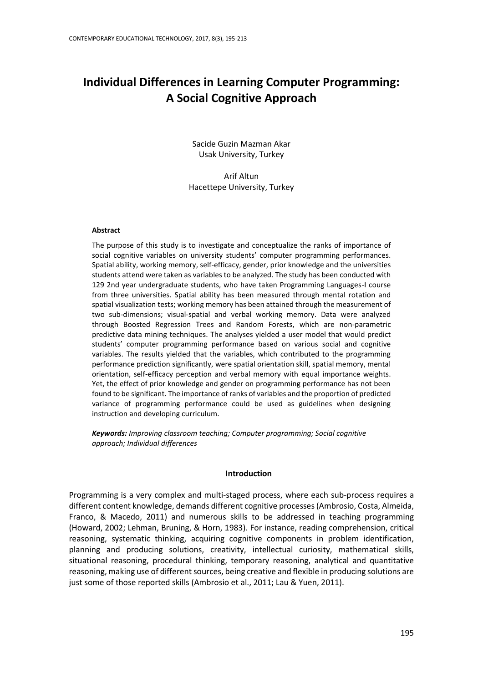# **Individual Differences in Learning Computer Programming: A Social Cognitive Approach**

Sacide Guzin Mazman Akar Usak University, Turkey

Arif Altun Hacettepe University, Turkey

#### **Abstract**

The purpose of this study is to investigate and conceptualize the ranks of importance of social cognitive variables on university students' computer programming performances. Spatial ability, working memory, self-efficacy, gender, prior knowledge and the universities students attend were taken as variables to be analyzed. The study has been conducted with 129 2nd year undergraduate students, who have taken Programming Languages-I course from three universities. Spatial ability has been measured through mental rotation and spatial visualization tests; working memory has been attained through the measurement of two sub-dimensions; visual-spatial and verbal working memory. Data were analyzed through Boosted Regression Trees and Random Forests, which are non-parametric predictive data mining techniques. The analyses yielded a user model that would predict students' computer programming performance based on various social and cognitive variables. The results yielded that the variables, which contributed to the programming performance prediction significantly, were spatial orientation skill, spatial memory, mental orientation, self-efficacy perception and verbal memory with equal importance weights. Yet, the effect of prior knowledge and gender on programming performance has not been found to be significant. The importance of ranks of variables and the proportion of predicted variance of programming performance could be used as guidelines when designing instruction and developing curriculum.

*Keywords: Improving classroom teaching; Computer programming; Social cognitive approach; Individual differences*

## **Introduction**

Programming is a very complex and multi-staged process, where each sub-process requires a different content knowledge, demands different cognitive processes [\(Ambrosio, Costa, Almeida,](#page-14-0)  Franco, & [Macedo, 2011\)](#page-14-0) and numerous skills to be addressed in teaching programming (Howard, 2002; [Lehman, Bruning, &](#page-16-0) Horn, 1983). For instance, reading comprehension, critical reasoning, systematic thinking, acquiring cognitive components in problem identification, planning and producing solutions, creativity, intellectual curiosity, mathematical skills, situational reasoning, procedural thinking, temporary reasoning, analytical and quantitative reasoning, making use of different sources, being creative and flexible in producing solutions are just some of those reported skills (Ambrosio et al., 2011; Lau & Yuen, 2011).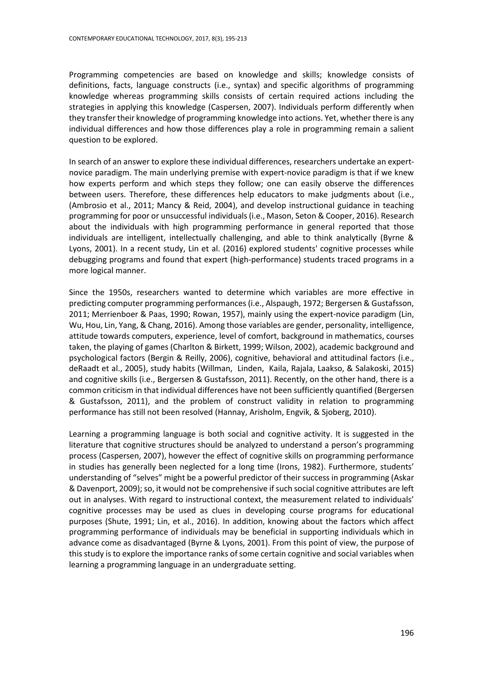Programming competencies are based on knowledge and skills; knowledge consists of definitions, facts, language constructs (i.e., syntax) and specific algorithms of programming knowledge whereas programming skills consists of certain required actions including the strategies in applying this knowledge (Caspersen, 2007). Individuals perform differently when they transfer their knowledge of programming knowledge into actions. Yet, whether there is any individual differences and how those differences play a role in programming remain a salient question to be explored.

In search of an answer to explore these individual differences, researchers undertake an expertnovice paradigm. The main underlying premise with expert-novice paradigm is that if we knew how experts perform and which steps they follow; one can easily observe the differences between users. Therefore, these differences help educators to make judgments about (i.e., (Ambrosio et al., 2011; Mancy & Reid, 2004), and develop instructional guidance in teaching programming for poor or unsuccessful individuals(i.e., Mason, Seton & Cooper, 2016). Research about the individuals with high programming performance in general reported that those individuals are intelligent, intellectually challenging, and able to think analytically (Byrne & Lyons, 2001). In a recent study, Lin et al. (2016) explored students' cognitive processes while debugging programs and found that expert (high-performance) students traced programs in a more logical manner.

Since the 1950s, researchers wanted to determine which variables are more effective in predicting computer programming performances (i.e., Alspaugh, 1972; Bergersen & Gustafsson, 2011; Merrienboer & Paas, 1990; Rowan, 1957), mainly using the expert-novice paradigm (Lin, Wu, Hou, Lin, Yang, & Chang, 2016). Among those variables are gender, personality, intelligence, attitude towards computers, experience, level of comfort, background in mathematics, courses taken, the playing of games (Charlton & Birkett, 1999; Wilson, 2002), academic background and psychological factors [\(Bergin & Reilly, 2006\)](#page-14-1), cognitive, behavioral and attitudinal factors (i.e., deRaadt et al., 2005), study habits (Willman, Linden, Kaila, Rajala, Laakso, & Salakoski, 2015) and cognitive skills (i.e., [Bergersen & Gustafsson, 2011\)](#page-14-2). Recently, on the other hand, there is a common criticism in that individual differences have not been sufficiently quantified [\(Bergersen](#page-14-2)  [& Gustafsson, 2011\)](#page-14-2), and the problem of construct validity in relation to programming performance has still not been resolved (Hannay, Arisholm, Engvik, & Sjoberg, 2010).

Learning a programming language is both social and cognitive activity. It is suggested in the literature that cognitive structures should be analyzed to understand a person's programming process (Caspersen, 2007), however the effect of cognitive skills on programming performance in studies has generally been neglected for a long time (Irons, 1982). Furthermore, students' understanding of "selves" might be a powerful predictor of their success in programming (Askar & Davenport, 2009); so, it would not be comprehensive if such social cognitive attributes are left out in analyses. With regard to instructional context, the measurement related to individuals' cognitive processes may be used as clues in developing course programs for educational purposes [\(Shute, 1991;](#page-17-0) Lin, et al., 2016). In addition, knowing about the factors which affect programming performance of individuals may be beneficial in supporting individuals which in advance come as disadvantaged (Byrne & Lyons, 2001). From this point of view, the purpose of this study is to explore the importance ranks of some certain cognitive and social variables when learning a programming language in an undergraduate setting.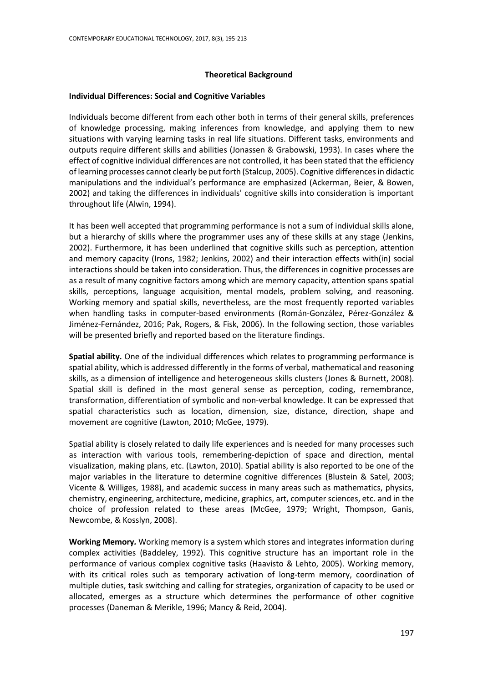## **Theoretical Background**

## **Individual Differences: Social and Cognitive Variables**

Individuals become different from each other both in terms of their general skills, preferences of knowledge processing, making inferences from knowledge, and applying them to new situations with varying learning tasks in real life situations. Different tasks, environments and outputs require different skills and abilities [\(Jonassen & Grabowski, 1993\)](#page-16-1). In cases where the effect of cognitive individual differences are not controlled, it has been stated that the efficiency of learning processes cannot clearly be put forth (Stalcup, 2005). Cognitive differences in didactic manipulations and the individual's performance are emphasized [\(Ackerman, Beier, & Bowen,](#page-14-3)  [2002\)](#page-14-3) and taking the differences in individuals' cognitive skills into consideration is important throughout life [\(Alwin, 1994\)](#page-14-3).

It has been well accepted that programming performance is not a sum of individual skills alone, but a hierarchy of skills where the programmer uses any of these skills at any stage [\(Jenkins,](#page-16-2)  [2002\)](#page-16-2). Furthermore, it has been underlined that cognitive skills such as perception, attention and memory capacity [\(Irons, 1982;](#page-16-3) [Jenkins, 2002\)](#page-16-2) and their interaction effects with(in) social interactions should be taken into consideration. Thus, the differences in cognitive processes are as a result of many cognitive factors among which are memory capacity, attention spans spatial skills, perceptions, language acquisition, mental models, problem solving, and reasoning. Working memory and spatial skills, nevertheless, are the most frequently reported variables when handling tasks in computer-based environments (Román-González, Pérez-González & Jiménez-Fernández, 2016; Pak, Rogers, & Fisk, 2006). In the following section, those variables will be presented briefly and reported based on the literature findings.

**Spatial ability***.* One of the individual differences which relates to programming performance is spatial ability, which is addressed differently in the forms of verbal, mathematical and reasoning skills, as a dimension of intelligence and heterogeneous skills clusters (Jones & Burnett, 2008). Spatial skill is defined in the most general sense as perception, coding, remembrance, transformation, differentiation of symbolic and non-verbal knowledge. It can be expressed that spatial characteristics such as location, dimension, size, distance, direction, shape and movement are cognitive [\(Lawton, 2010;](#page-16-4) McGee, 1979).

Spatial ability is closely related to daily life experiences and is needed for many processes such as interaction with various tools, remembering-depiction of space and direction, mental visualization, making plans, etc. [\(Lawton, 2010\)](#page-16-4). Spatial ability is also reported to be one of the major variables in the literature to determine cognitive differences [\(Blustein & Satel, 2003;](#page-14-4) Vicente & Williges, 1988), and academic success in many areas such as mathematics, physics, chemistry, engineering, architecture, medicine, graphics, art, computer sciences, etc. and in the choice of profession related to these areas (McGee, 1979; Wright, Thompson, Ganis, Newcombe, & Kosslyn, 2008).

**Working Memory***.* Working memory is a system which stores and integrates information during complex activities [\(Baddeley, 1992\)](#page-14-5). This cognitive structure has an important role in the performance of various complex cognitive tasks [\(Haavisto & Lehto, 2005\)](#page-15-0). Working memory, with its critical roles such as temporary activation of long-term memory, coordination of multiple duties, task switching and calling for strategies, organization of capacity to be used or allocated, emerges as a structure which determines the performance of other cognitive processes (Daneman & Merikle, 1996; Mancy & Reid, 2004).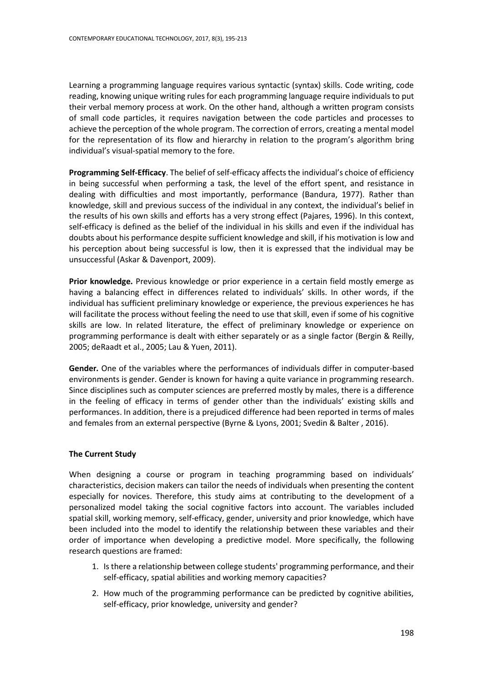Learning a programming language requires various syntactic (syntax) skills. Code writing, code reading, knowing unique writing rules for each programming language require individuals to put their verbal memory process at work. On the other hand, although a written program consists of small code particles, it requires navigation between the code particles and processes to achieve the perception of the whole program. The correction of errors, creating a mental model for the representation of its flow and hierarchy in relation to the program's algorithm bring individual's visual-spatial memory to the fore.

**Programming Self-Efficacy**. The belief of self-efficacy affects the individual's choice of efficiency in being successful when performing a task, the level of the effort spent, and resistance in dealing with difficulties and most importantly, performance (Bandura, 1977). Rather than knowledge, skill and previous success of the individual in any context, the individual's belief in the results of his own skills and efforts has a very strong effect (Pajares, 1996). In this context, self-efficacy is defined as the belief of the individual in his skills and even if the individual has doubts about his performance despite sufficient knowledge and skill, if his motivation is low and his perception about being successful is low, then it is expressed that the individual may be unsuccessful (Askar & Davenport, 2009).

**Prior knowledge.** Previous knowledge or prior experience in a certain field mostly emerge as having a balancing effect in differences related to individuals' skills. In other words, if the individual has sufficient preliminary knowledge or experience, the previous experiences he has will facilitate the process without feeling the need to use that skill, even if some of his cognitive skills are low. In related literature, the effect of preliminary knowledge or experience on programming performance is dealt with either separately or as a single factor [\(Bergin & Reilly,](#page-14-6)  [2005;](#page-14-6) deRaadt et al., 2005; Lau & Yuen, 2011).

**Gender***.* One of the variables where the performances of individuals differ in computer-based environments is gender. Gender is known for having a quite variance in programming research. Since disciplines such as computer sciences are preferred mostly by males, there is a difference in the feeling of efficacy in terms of gender other than the individuals' existing skills and performances. In addition, there is a prejudiced difference had been reported in terms of males and females from an external perspective (Byrne & Lyons, 2001; Svedin & Balter , 2016).

## **The Current Study**

When designing a course or program in teaching programming based on individuals' characteristics, decision makers can tailor the needs of individuals when presenting the content especially for novices. Therefore, this study aims at contributing to the development of a personalized model taking the social cognitive factors into account. The variables included spatial skill, working memory, self-efficacy, gender, university and prior knowledge, which have been included into the model to identify the relationship between these variables and their order of importance when developing a predictive model. More specifically, the following research questions are framed:

- 1. Is there a relationship between college students' programming performance, and their self-efficacy, spatial abilities and working memory capacities?
- 2. How much of the programming performance can be predicted by cognitive abilities, self-efficacy, prior knowledge, university and gender?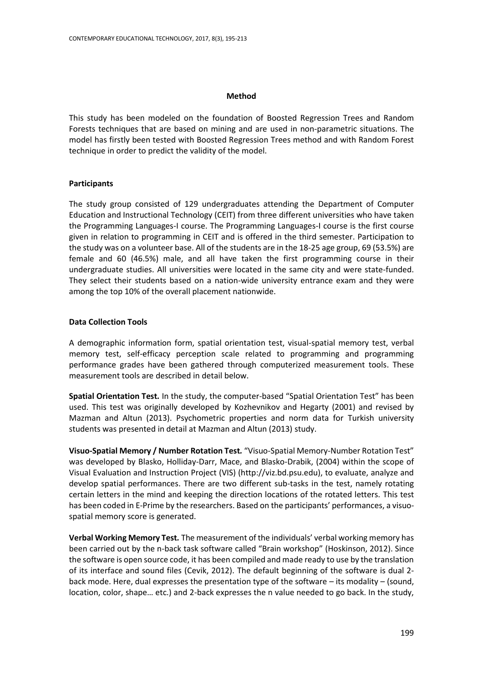## **Method**

This study has been modeled on the foundation of Boosted Regression Trees and Random Forests techniques that are based on mining and are used in non-parametric situations. The model has firstly been tested with Boosted Regression Trees method and with Random Forest technique in order to predict the validity of the model.

## **Participants**

The study group consisted of 129 undergraduates attending the Department of Computer Education and Instructional Technology (CEIT) from three different universities who have taken the Programming Languages-I course. The Programming Languages-I course is the first course given in relation to programming in CEIT and is offered in the third semester. Participation to the study was on a volunteer base. All of the students are in the 18-25 age group, 69 (53.5%) are female and 60 (46.5%) male, and all have taken the first programming course in their undergraduate studies. All universities were located in the same city and were state-funded. They select their students based on a nation-wide university entrance exam and they were among the top 10% of the overall placement nationwide.

## **Data Collection Tools**

A demographic information form, spatial orientation test, visual-spatial memory test, verbal memory test, self-efficacy perception scale related to programming and programming performance grades have been gathered through computerized measurement tools. These measurement tools are described in detail below.

**Spatial Orientation Test***.* In the study, the computer-based "Spatial Orientation Test" has been used. This test was originally developed by Kozhevnikov and Hegarty (2001) and revised by Mazman and Altun (2013). Psychometric properties and norm data for Turkish university students was presented in detail at Mazman and Altun (2013) study.

**Visuo-Spatial Memory / Number Rotation Test***.* "Visuo-Spatial Memory-Number Rotation Test" was developed by [Blasko, Holliday-Darr, Mace, and](#page-14-7) Blasko-Drabik, (2004) within the scope of Visual Evaluation and Instruction Project (VIS) (http://viz.bd.psu.edu), to evaluate, analyze and develop spatial performances. There are two different sub-tasks in the test, namely rotating certain letters in the mind and keeping the direction locations of the rotated letters. This test has been coded in E-Prime by the researchers. Based on the participants' performances, a visuospatial memory score is generated.

**Verbal Working Memory Test***.* The measurement of the individuals' verbal working memory has been carried out by the n-back task software called "Brain workshop" (Hoskinson, 2012). Since the software is open source code, it has been compiled and made ready to use by the translation of its interface and sound files (Cevik, 2012). The default beginning of the software is dual 2 back mode. Here, dual expresses the presentation type of the software – its modality – (sound, location, color, shape… etc.) and 2-back expresses the n value needed to go back. In the study,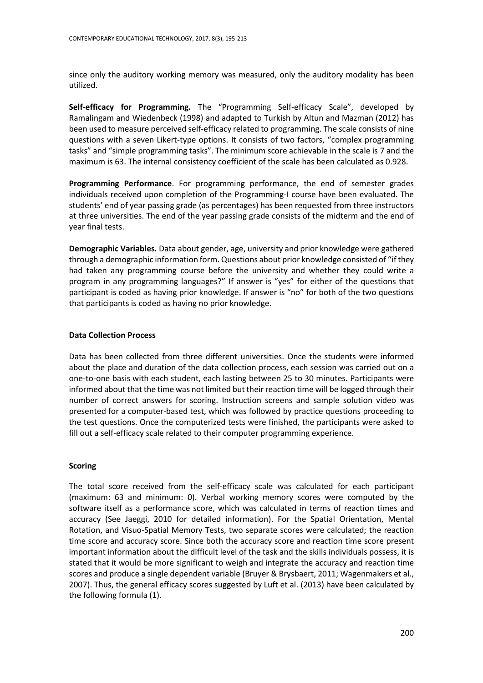since only the auditory working memory was measured, only the auditory modality has been utilized.

**Self-efficacy for Programming***.* The "Programming Self-efficacy Scale", developed by Ramalingam and Wiedenbeck (1998) and adapted to Turkish by Altun and Mazman (2012) has been used to measure perceived self-efficacy related to programming. The scale consists of nine questions with a seven Likert-type options. It consists of two factors, "complex programming tasks" and "simple programming tasks". The minimum score achievable in the scale is 7 and the maximum is 63. The internal consistency coefficient of the scale has been calculated as 0.928.

**Programming Performance**. For programming performance, the end of semester grades individuals received upon completion of the Programming-I course have been evaluated. The students' end of year passing grade (as percentages) has been requested from three instructors at three universities. The end of the year passing grade consists of the midterm and the end of year final tests.

**Demographic Variables***.* Data about gender, age, university and prior knowledge were gathered through a demographic information form. Questions about prior knowledge consisted of "if they had taken any programming course before the university and whether they could write a program in any programming languages?" If answer is "yes" for either of the questions that participant is coded as having prior knowledge. If answer is "no" for both of the two questions that participants is coded as having no prior knowledge.

## **Data Collection Process**

Data has been collected from three different universities. Once the students were informed about the place and duration of the data collection process, each session was carried out on a one-to-one basis with each student, each lasting between 25 to 30 minutes. Participants were informed about that the time was not limited but their reaction time will be logged through their number of correct answers for scoring. Instruction screens and sample solution video was presented for a computer-based test, which was followed by practice questions proceeding to the test questions. Once the computerized tests were finished, the participants were asked to fill out a self-efficacy scale related to their computer programming experience.

## **Scoring**

The total score received from the self-efficacy scale was calculated for each participant (maximum: 63 and minimum: 0). Verbal working memory scores were computed by the software itself as a performance score, which was calculated in terms of reaction times and accuracy (See Jaeggi, 2010 for detailed information). For the Spatial Orientation, Mental Rotation, and Visuo-Spatial Memory Tests, two separate scores were calculated; the reaction time score and accuracy score. Since both the accuracy score and reaction time score present important information about the difficult level of the task and the skills individuals possess, it is stated that it would be more significant to weigh and integrate the accuracy and reaction time scores and produce a single dependent variable [\(Bruyer & Brysbaert, 2011;](#page-14-8) Wagenmakers et al., 2007). Thus, the general efficacy scores suggested by Luft et al. (2013) have been calculated by the following formula (1).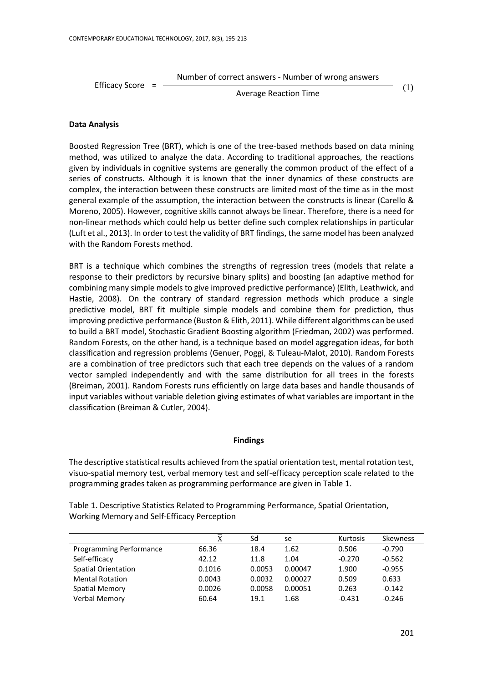Number of correct answers - Number of wrong answers

Efficacy Score  $=$ 

Average Reaction Time

(1)

## **Data Analysis**

Boosted Regression Tree (BRT), which is one of the tree-based methods based on data mining method, was utilized to analyze the data. According to traditional approaches, the reactions given by individuals in cognitive systems are generally the common product of the effect of a series of constructs. Although it is known that the inner dynamics of these constructs are complex, the interaction between these constructs are limited most of the time as in the most general example of the assumption, the interaction between the constructs is linear (Carello & Moreno, 2005). However, cognitive skills cannot always be linear. Therefore, there is a need for non-linear methods which could help us better define such complex relationships in particular (Luft et al., 2013). In order to test the validity of BRT findings, the same model has been analyzed with the Random Forests method.

BRT is a technique which combines the strengths of regression trees (models that relate a response to their predictors by recursive binary splits) and boosting (an adaptive method for combining many simple models to give improved predictive performance) (Elith, Leathwick, and Hastie, 2008). On the contrary of standard regression methods which produce a single predictive model, BRT fit multiple simple models and combine them for prediction, thus improving predictive performance (Buston & Elith, 2011). While different algorithms can be used to build a BRT model, Stochastic Gradient Boosting algorithm (Friedman, 2002) was performed. Random Forests, on the other hand, is a technique based on model aggregation ideas, for both classification and regression problems (Genuer, Poggi, & Tuleau-Malot, 2010). Random Forests are a combination of tree predictors such that each tree depends on the values of a random vector sampled independently and with the same distribution for all trees in the forests (Breiman, 2001). Random Forests runs efficiently on large data bases and handle thousands of input variables without variable deletion giving estimates of what variables are important in the classification (Breiman & Cutler, 2004).

## **Findings**

The descriptive statistical results achieved from the spatial orientation test, mental rotation test, visuo-spatial memory test, verbal memory test and self-efficacy perception scale related to the programming grades taken as programming performance are given in Table 1.

Table 1. Descriptive Statistics Related to Programming Performance, Spatial Orientation, Working Memory and Self-Efficacy Perception

|                         | $\overline{\text{X}}$ | Sd     | se      | Kurtosis | Skewness |
|-------------------------|-----------------------|--------|---------|----------|----------|
| Programming Performance | 66.36                 | 18.4   | 1.62    | 0.506    | $-0.790$ |
| Self-efficacy           | 42.12                 | 11.8   | 1.04    | $-0.270$ | $-0.562$ |
| Spatial Orientation     | 0.1016                | 0.0053 | 0.00047 | 1.900    | $-0.955$ |
| <b>Mental Rotation</b>  | 0.0043                | 0.0032 | 0.00027 | 0.509    | 0.633    |
| <b>Spatial Memory</b>   | 0.0026                | 0.0058 | 0.00051 | 0.263    | $-0.142$ |
| Verbal Memory           | 60.64                 | 19.1   | 1.68    | $-0.431$ | $-0.246$ |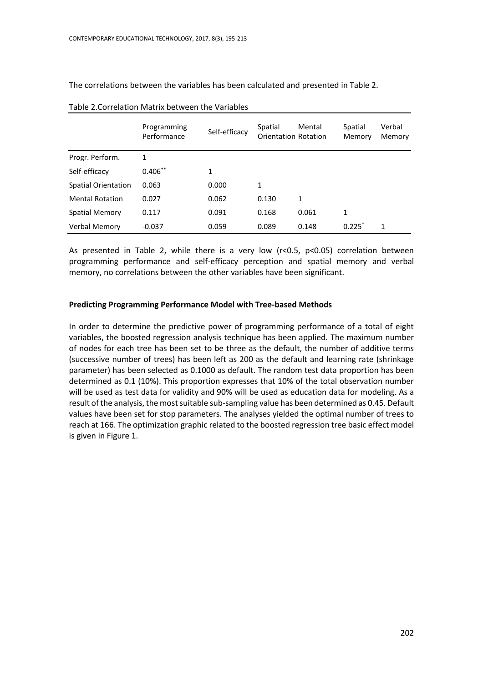The correlations between the variables has been calculated and presented in Table 2.

|                        | Programming<br>Performance | Self-efficacy | Spatial<br><b>Orientation Rotation</b> | Mental | Spatial<br>Memory | Verbal<br>Memory |
|------------------------|----------------------------|---------------|----------------------------------------|--------|-------------------|------------------|
| Progr. Perform.        | 1                          |               |                                        |        |                   |                  |
| Self-efficacy          | $0.406**$                  | 1             |                                        |        |                   |                  |
| Spatial Orientation    | 0.063                      | 0.000         | 1                                      |        |                   |                  |
| <b>Mental Rotation</b> | 0.027                      | 0.062         | 0.130                                  | 1      |                   |                  |
| <b>Spatial Memory</b>  | 0.117                      | 0.091         | 0.168                                  | 0.061  | 1                 |                  |
| Verbal Memory          | $-0.037$                   | 0.059         | 0.089                                  | 0.148  | 0.225             | 1                |

| Table 2. Correlation Matrix between the Variables |  |  |
|---------------------------------------------------|--|--|
|---------------------------------------------------|--|--|

As presented in Table 2, while there is a very low (r<0.5, p<0.05) correlation between programming performance and self-efficacy perception and spatial memory and verbal memory, no correlations between the other variables have been significant.

#### **Predicting Programming Performance Model with Tree-based Methods**

In order to determine the predictive power of programming performance of a total of eight variables, the boosted regression analysis technique has been applied. The maximum number of nodes for each tree has been set to be three as the default, the number of additive terms (successive number of trees) has been left as 200 as the default and learning rate (shrinkage parameter) has been selected as 0.1000 as default. The random test data proportion has been determined as 0.1 (10%). This proportion expresses that 10% of the total observation number will be used as test data for validity and 90% will be used as education data for modeling. As a result of the analysis, the most suitable sub-sampling value has been determined as 0.45. Default values have been set for stop parameters. The analyses yielded the optimal number of trees to reach at 166. The optimization graphic related to the boosted regression tree basic effect model is given in Figure 1.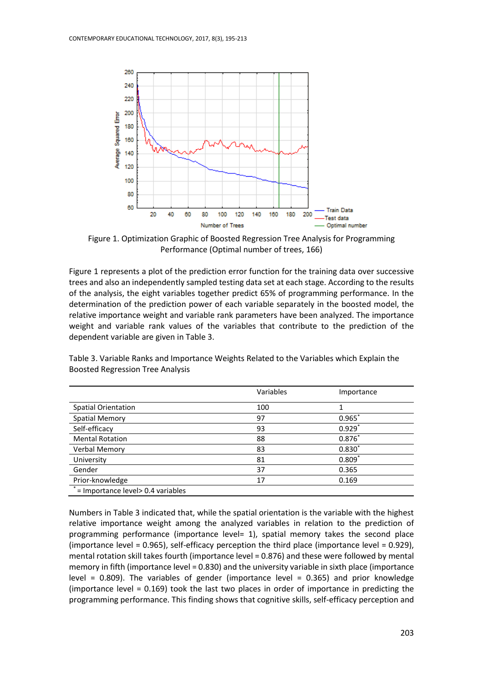

Figure 1. Optimization Graphic of Boosted Regression Tree Analysis for Programming Performance (Optimal number of trees, 166)

Figure 1 represents a plot of the prediction error function for the training data over successive trees and also an independently sampled testing data set at each stage. According to the results of the analysis, the eight variables together predict 65% of programming performance. In the determination of the prediction power of each variable separately in the boosted model, the relative importance weight and variable rank parameters have been analyzed. The importance weight and variable rank values of the variables that contribute to the prediction of the dependent variable are given in Table 3.

|                                                   | Variables | Importance |
|---------------------------------------------------|-----------|------------|
| <b>Spatial Orientation</b>                        | 100       | 1          |
| <b>Spatial Memory</b>                             | 97        | $0.965*$   |
| Self-efficacy                                     | 93        | $0.929*$   |
| <b>Mental Rotation</b>                            | 88        | $0.876*$   |
| Verbal Memory                                     | 83        | $0.830*$   |
| University                                        | 81        | $0.809*$   |
| Gender                                            | 37        | 0.365      |
| Prior-knowledge                                   | 17        | 0.169      |
| $\overline{I}$ = Importance level > 0.4 variables |           |            |

Table 3. Variable Ranks and Importance Weights Related to the Variables which Explain the Boosted Regression Tree Analysis

Numbers in Table 3 indicated that, while the spatial orientation is the variable with the highest relative importance weight among the analyzed variables in relation to the prediction of programming performance (importance level= 1), spatial memory takes the second place (importance level = 0.965), self-efficacy perception the third place (importance level = 0.929), mental rotation skill takes fourth (importance level = 0.876) and these were followed by mental memory in fifth (importance level = 0.830) and the university variable in sixth place (importance level = 0.809). The variables of gender (importance level = 0.365) and prior knowledge (importance level = 0.169) took the last two places in order of importance in predicting the programming performance. This finding shows that cognitive skills, self-efficacy perception and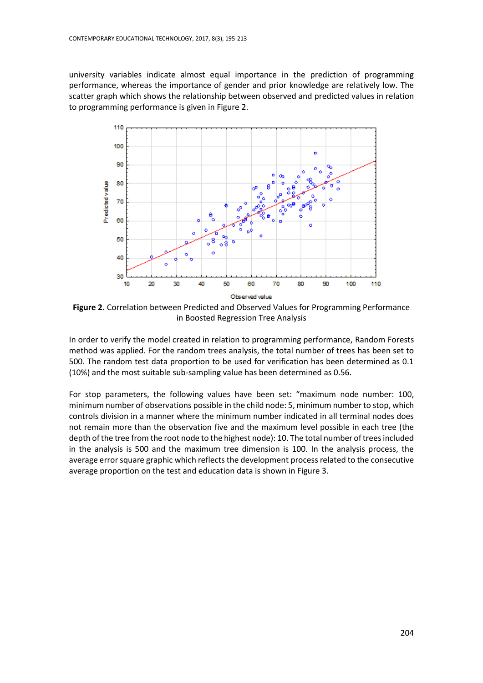university variables indicate almost equal importance in the prediction of programming performance, whereas the importance of gender and prior knowledge are relatively low. The scatter graph which shows the relationship between observed and predicted values in relation to programming performance is given in Figure 2.



**Figure 2.** Correlation between Predicted and Observed Values for Programming Performance in Boosted Regression Tree Analysis

In order to verify the model created in relation to programming performance, Random Forests method was applied. For the random trees analysis, the total number of trees has been set to 500. The random test data proportion to be used for verification has been determined as 0.1 (10%) and the most suitable sub-sampling value has been determined as 0.56.

For stop parameters, the following values have been set: "maximum node number: 100, minimum number of observations possible in the child node: 5, minimum number to stop, which controls division in a manner where the minimum number indicated in all terminal nodes does not remain more than the observation five and the maximum level possible in each tree (the depth of the tree from the root node to the highest node): 10. The total number of trees included in the analysis is 500 and the maximum tree dimension is 100. In the analysis process, the average error square graphic which reflects the development process related to the consecutive average proportion on the test and education data is shown in Figure 3.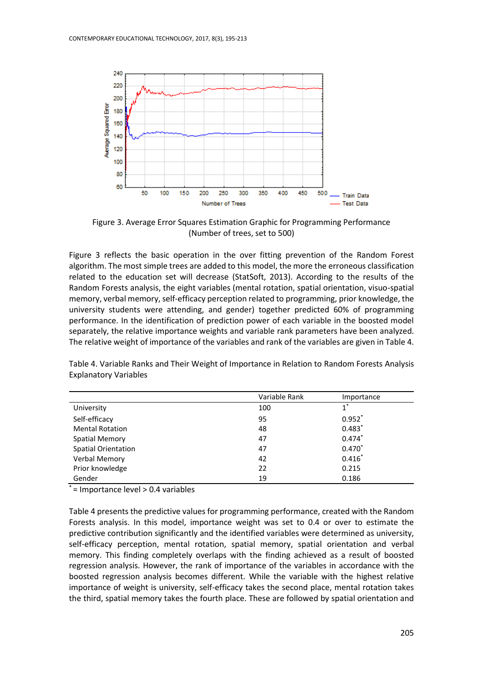

Figure 3. Average Error Squares Estimation Graphic for Programming Performance (Number of trees, set to 500)

Figure 3 reflects the basic operation in the over fitting prevention of the Random Forest algorithm. The most simple trees are added to this model, the more the erroneous classification related to the education set will decrease (StatSoft, 2013). According to the results of the Random Forests analysis, the eight variables (mental rotation, spatial orientation, visuo-spatial memory, verbal memory, self-efficacy perception related to programming, prior knowledge, the university students were attending, and gender) together predicted 60% of programming performance. In the identification of prediction power of each variable in the boosted model separately, the relative importance weights and variable rank parameters have been analyzed. The relative weight of importance of the variables and rank of the variables are given in Table 4.

|                            | Variable Rank | Importance |
|----------------------------|---------------|------------|
| University                 | 100           | $1^*$      |
| Self-efficacy              | 95            | $0.952*$   |
| <b>Mental Rotation</b>     | 48            | $0.483*$   |
| <b>Spatial Memory</b>      | 47            | $0.474*$   |
| <b>Spatial Orientation</b> | 47            | $0.470*$   |
| <b>Verbal Memory</b>       | 42            | $0.416*$   |
| Prior knowledge            | 22            | 0.215      |
| Gender                     | 19            | 0.186      |

Table 4. Variable Ranks and Their Weight of Importance in Relation to Random Forests Analysis Explanatory Variables

\* = Importance level > 0.4 variables

Table 4 presents the predictive values for programming performance, created with the Random Forests analysis. In this model, importance weight was set to 0.4 or over to estimate the predictive contribution significantly and the identified variables were determined as university, self-efficacy perception, mental rotation, spatial memory, spatial orientation and verbal memory. This finding completely overlaps with the finding achieved as a result of boosted regression analysis. However, the rank of importance of the variables in accordance with the boosted regression analysis becomes different. While the variable with the highest relative importance of weight is university, self-efficacy takes the second place, mental rotation takes the third, spatial memory takes the fourth place. These are followed by spatial orientation and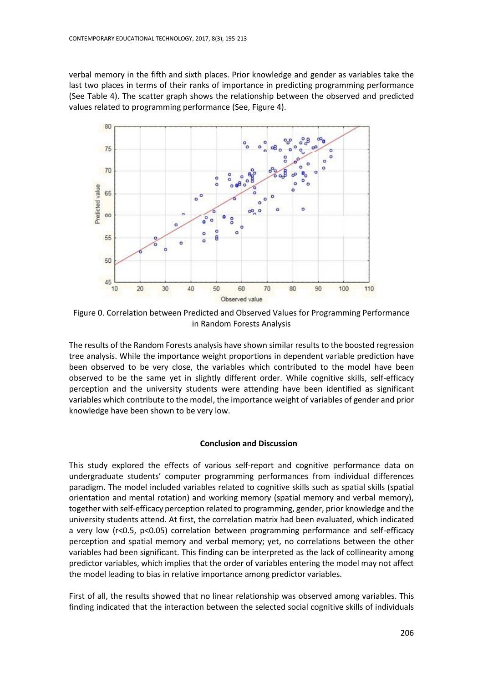verbal memory in the fifth and sixth places. Prior knowledge and gender as variables take the last two places in terms of their ranks of importance in predicting programming performance (See Table 4). The scatter graph shows the relationship between the observed and predicted values related to programming performance (See, Figure 4).



Figure 0. Correlation between Predicted and Observed Values for Programming Performance in Random Forests Analysis

The results of the Random Forests analysis have shown similar results to the boosted regression tree analysis. While the importance weight proportions in dependent variable prediction have been observed to be very close, the variables which contributed to the model have been observed to be the same yet in slightly different order. While cognitive skills, self-efficacy perception and the university students were attending have been identified as significant variables which contribute to the model, the importance weight of variables of gender and prior knowledge have been shown to be very low.

## **Conclusion and Discussion**

This study explored the effects of various self-report and cognitive performance data on undergraduate students' computer programming performances from individual differences paradigm. The model included variables related to cognitive skills such as spatial skills (spatial orientation and mental rotation) and working memory (spatial memory and verbal memory), together with self-efficacy perception related to programming, gender, prior knowledge and the university students attend. At first, the correlation matrix had been evaluated, which indicated a very low (r<0.5, p<0.05) correlation between programming performance and self-efficacy perception and spatial memory and verbal memory; yet, no correlations between the other variables had been significant. This finding can be interpreted as the lack of collinearity among predictor variables, which implies that the order of variables entering the model may not affect the model leading to bias in relative importance among predictor variables.

First of all, the results showed that no linear relationship was observed among variables. This finding indicated that the interaction between the selected social cognitive skills of individuals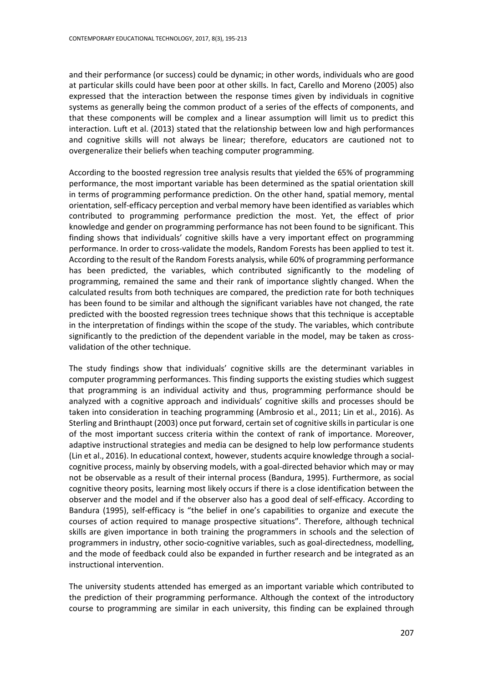and their performance (or success) could be dynamic; in other words, individuals who are good at particular skills could have been poor at other skills. In fact, Carello and Moreno (2005) also expressed that the interaction between the response times given by individuals in cognitive systems as generally being the common product of a series of the effects of components, and that these components will be complex and a linear assumption will limit us to predict this interaction. Luft et al. (2013) stated that the relationship between low and high performances and cognitive skills will not always be linear; therefore, educators are cautioned not to overgeneralize their beliefs when teaching computer programming.

According to the boosted regression tree analysis results that yielded the 65% of programming performance, the most important variable has been determined as the spatial orientation skill in terms of programming performance prediction. On the other hand, spatial memory, mental orientation, self-efficacy perception and verbal memory have been identified as variables which contributed to programming performance prediction the most. Yet, the effect of prior knowledge and gender on programming performance has not been found to be significant. This finding shows that individuals' cognitive skills have a very important effect on programming performance. In order to cross-validate the models, Random Forests has been applied to test it. According to the result of the Random Forests analysis, while 60% of programming performance has been predicted, the variables, which contributed significantly to the modeling of programming, remained the same and their rank of importance slightly changed. When the calculated results from both techniques are compared, the prediction rate for both techniques has been found to be similar and although the significant variables have not changed, the rate predicted with the boosted regression trees technique shows that this technique is acceptable in the interpretation of findings within the scope of the study. The variables, which contribute significantly to the prediction of the dependent variable in the model, may be taken as crossvalidation of the other technique.

The study findings show that individuals' cognitive skills are the determinant variables in computer programming performances. This finding supports the existing studies which suggest that programming is an individual activity and thus, programming performance should be analyzed with a cognitive approach and individuals' cognitive skills and processes should be taken into consideration in teaching programming [\(Ambrosio et al., 2011;](#page-14-0) Lin et al., 2016). As Sterling and Brinthaupt (2003) once put forward, certain set of cognitive skills in particular is one of the most important success criteria within the context of rank of importance. Moreover, adaptive instructional strategies and media can be designed to help low performance students (Lin et al., 2016). In educational context, however, students acquire knowledge through a socialcognitive process, mainly by observing models, with a goal-directed behavior which may or may not be observable as a result of their internal process (Bandura, 1995). Furthermore, as social cognitive theory posits, learning most likely occurs if there is a close identification between the observer and the model and if the observer also has a good deal of [self-efficacy.](https://en.wikipedia.org/wiki/Self-efficacy) According to Bandura (1995), self-efficacy is "the belief in one's capabilities to organize and execute the courses of action required to manage prospective situations". Therefore, although technical skills are given importance in both training the programmers in schools and the selection of programmers in industry, other socio-cognitive variables, such as goal-directedness, modelling, and the mode of feedback could also be expanded in further research and be integrated as an instructional intervention.

The university students attended has emerged as an important variable which contributed to the prediction of their programming performance. Although the context of the introductory course to programming are similar in each university, this finding can be explained through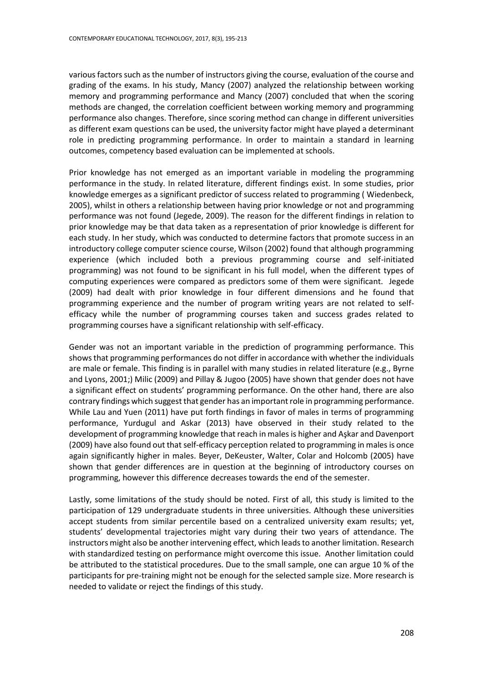various factors such as the number of instructors giving the course, evaluation of the course and grading of the exams. In his study, Mancy (2007) analyzed the relationship between working memory and programming performance and Mancy (2007) concluded that when the scoring methods are changed, the correlation coefficient between working memory and programming performance also changes. Therefore, since scoring method can change in different universities as different exam questions can be used, the university factor might have played a determinant role in predicting programming performance. In order to maintain a standard in learning outcomes, competency based evaluation can be implemented at schools.

Prior knowledge has not emerged as an important variable in modeling the programming performance in the study. In related literature, different findings exist. In some studies, prior knowledge emerges as a significant predictor of success related to programming ( [Wiedenbeck,](#page-17-1)  [2005\)](#page-17-1), whilst in others a relationship between having prior knowledge or not and programming performance was not found [\(Jegede, 2009\)](#page-16-5). The reason for the different findings in relation to prior knowledge may be that data taken as a representation of prior knowledge is different for each study. In her study, which was conducted to determine factors that promote success in an introductory college computer science course, Wilson (2002) found that although programming experience (which included both a previous programming course and self-initiated programming) was not found to be significant in his full model, when the different types of computing experiences were compared as predictors some of them were significant. [Jegede](#page-16-5)  (2009) had dealt with prior knowledge in four different dimensions and he found that programming experience and the number of program writing years are not related to selfefficacy while the number of programming courses taken and success grades related to programming courses have a significant relationship with self-efficacy.

Gender was not an important variable in the prediction of programming performance. This shows that programming performances do not differ in accordance with whether the individuals are male or female. This finding is in parallel with many studies in related literature (e.g., Byrne and Lyons, 2001;) Milic (2009) and Pillay & Jugoo (2005) have shown that gender does not have a significant effect on students' programming performance. On the other hand, there are also contrary findings which suggest that gender has an important role in programming performance. While Lau and Yuen (2011) have put forth findings in favor of males in terms of programming performance, Yurdugul and Askar (2013) have observed in their study related to the development of programming knowledge that reach in males is higher and Aşkar and Davenport (2009) have also found out that self-efficacy perception related to programming in males is once again significantly higher in males. [Beyer, DeKeuster, Walter, Colar and](#page-14-9) Holcomb (2005) have shown that gender differences are in question at the beginning of introductory courses on programming, however this difference decreases towards the end of the semester.

Lastly, some limitations of the study should be noted. First of all, this study is limited to the participation of 129 undergraduate students in three universities. Although these universities accept students from similar percentile based on a centralized university exam results; yet, students' developmental trajectories might vary during their two years of attendance. The instructors might also be another intervening effect, which leads to another limitation. Research with standardized testing on performance might overcome this issue. Another limitation could be attributed to the statistical procedures. Due to the small sample, one can argue 10 % of the participants for pre-training might not be enough for the selected sample size. More research is needed to validate or reject the findings of this study.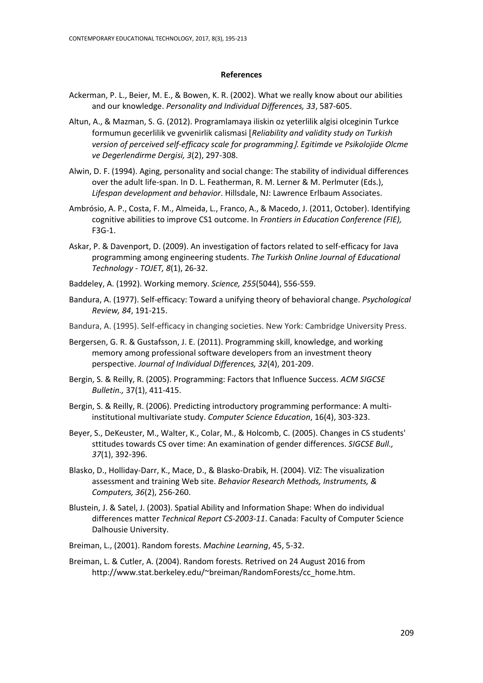#### **References**

- <span id="page-14-0"></span>Ackerman, P. L., Beier, M. E., & Bowen, K. R. (2002). What we really know about our abilities and our knowledge. *Personality and Individual Differences, 33*, 587-605.
- Altun, A., & Mazman, S. G. (2012). Programlamaya iliskin oz yeterlilik algisi olceginin Turkce formumun gecerlilik ve gvvenirlik calismasi *Reliability and validity study on Turkish version of perceived self-efficacy scale for programming*. *Egitimde ve Psikolojide Olcme ve Degerlendirme Dergisi, 3*(2), 297-308.
- <span id="page-14-3"></span>Alwin, D. F. (1994). Aging, personality and social change: The stability of individual differences over the adult life-span. In D. L. Featherman, R. M. Lerner & M. Perlmuter (Eds.), *Lifespan development and behavior*. Hillsdale, NJ: Lawrence Erlbaum Associates.
- Ambrósio, A. P., Costa, F. M., Almeida, L., Franco, A., & Macedo, J. (2011, October). Identifying cognitive abilities to improve CS1 outcome. In *Frontiers in Education Conference (FIE),*  F3G-1.
- Askar, P. & Davenport, D. (2009). An investigation of factors related to self-efficacy for Java programming among engineering students. *The Turkish Online Journal of Educational Technology - TOJET, 8*(1), 26-32.
- <span id="page-14-5"></span>Baddeley, A. (1992). Working memory. *Science, 255*(5044), 556-559.
- Bandura, A. (1977). Self-efficacy: Toward a unifying theory of behavioral change. *Psychological Review, 84*, 191-215.
- Bandura, A. (1995). Self-efficacy in changing societies. New York: Cambridge University Press.
- <span id="page-14-2"></span>Bergersen, G. R. & Gustafsson, J. E. (2011). Programming skill, knowledge, and working memory among professional software developers from an investment theory perspective. *Journal of Individual Differences, 32*(4), 201-209.
- <span id="page-14-6"></span>Bergin, S. & Reilly, R. (2005). Programming: Factors that Influence Success*. ACM SIGCSE Bulletin.,* 37(1), 411-415.
- <span id="page-14-1"></span>Bergin, S. & Reilly, R. (2006). Predicting introductory programming performance: A multiinstitutional multivariate study. *Computer Science Education*, 16(4), 303-323.
- <span id="page-14-9"></span>Beyer, S., DeKeuster, M., Walter, K., Colar, M., & Holcomb, C. (2005). Changes in CS students' sttitudes towards CS over time: An examination of gender differences. *SIGCSE Bull., 37*(1), 392-396.
- <span id="page-14-7"></span>Blasko, D., Holliday-Darr, K., Mace, D., & Blasko-Drabik, H. (2004). VIZ: The visualization assessment and training Web site. *Behavior Research Methods, Instruments, & Computers, 36*(2), 256-260.
- <span id="page-14-4"></span>Blustein, J. & Satel, J. (2003). Spatial Ability and Information Shape: When do individual differences matter *Technical Report CS-2003-11*. Canada: Faculty of Computer Science Dalhousie University.
- <span id="page-14-8"></span>Breiman, L., (2001). Random forests. *Machine Learning*, 45, 5-32.
- Breiman, L. & Cutler, A. (2004). Random forests. Retrived on 24 August 2016 from http://www.stat.berkeley.edu/~breiman/RandomForests/cc\_home.htm.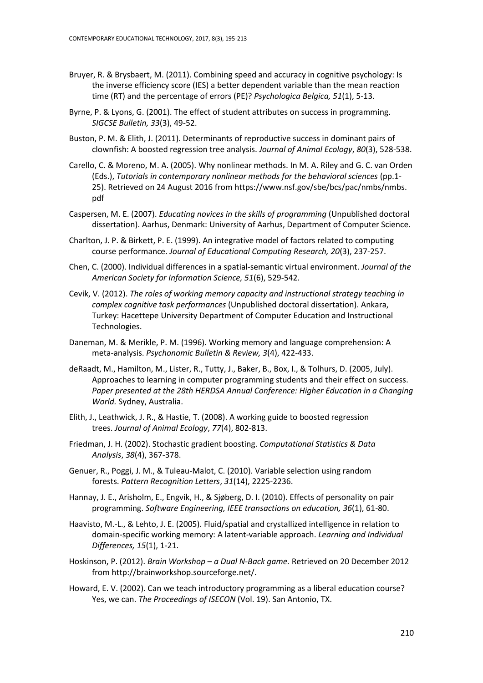- Bruyer, R. & Brysbaert, M. (2011). Combining speed and accuracy in cognitive psychology: Is the inverse efficiency score (IES) a better dependent variable than the mean reaction time (RT) and the percentage of errors (PE)? *Psychologica Belgica, 51*(1), 5-13.
- Byrne, P. & Lyons, G. (2001). The effect of student attributes on success in programming. *SIGCSE Bulletin, 33*(3), 49-52.
- Buston, P. M. & Elith, J. (2011). Determinants of reproductive success in dominant pairs of clownfish: A boosted regression tree analysis. *Journal of Animal Ecology*, *80*(3), 528-538.
- Carello, C. & Moreno, M. A. (2005). Why nonlinear methods. In M. A. Riley and G. C. van Orden (Eds.), *Tutorials in contemporary nonlinear methods for the behavioral sciences* (pp.1- 25). Retrieved on 24 August 2016 from [https://www.nsf.gov/sbe/bcs/pac/nmbs/nmbs.](https://www.nsf.gov/sbe/bcs/pac/nmbs/nmbs) pdf
- Caspersen, M. E. (2007). *Educating novices in the skills of programming* (Unpublished doctoral dissertation). Aarhus, Denmark: University of Aarhus, Department of Computer Science.
- Charlton, J. P. & Birkett, P. E. (1999). An integrative model of factors related to computing course performance. *Journal of Educational Computing Research, 20*(3), 237-257.
- Chen, C. (2000). Individual differences in a spatial-semantic virtual environment. *Journal of the American Society for Information Science, 51*(6), 529-542.
- Cevik, V. (2012). *The roles of working memory capacity and instructional strategy teaching in complex cognitive task performances* (Unpublished doctoral dissertation). Ankara, Turkey: Hacettepe University Department of Computer Education and Instructional Technologies.
- Daneman, M. & Merikle, P. M. (1996). Working memory and language comprehension: A meta-analysis. *Psychonomic Bulletin & Review, 3*(4), 422-433.
- deRaadt, M., Hamilton, M., Lister, R., Tutty, J., Baker, B., Box, I., & Tolhurs, D. (2005, July). Approaches to learning in computer programming students and their effect on success. *Paper presented at the 28th HERDSA Annual Conference: Higher Education in a Changing World.* Sydney, Australia.
- Elith, J., Leathwick, J. R., & Hastie, T. (2008). A working guide to boosted regression trees. *Journal of Animal Ecology*, *77*(4), 802-813.
- Friedman, J. H. (2002). Stochastic gradient boosting. *Computational Statistics & Data Analysis*, *38*(4), 367-378.
- Genuer, R., Poggi, J. M., & Tuleau-Malot, C. (2010). Variable selection using random forests. *Pattern Recognition Letters*, *31*(14), 2225-2236.
- Hannay, J. E., Arisholm, E., Engvik, H., & Sjøberg, D. I. (2010). Effects of personality on pair programming. *Software Engineering, IEEE transactions on education, 36*(1), 61-80.
- <span id="page-15-0"></span>Haavisto, M.-L., & Lehto, J. E. (2005). Fluid/spatial and crystallized intelligence in relation to domain-specific working memory: A latent-variable approach. *Learning and Individual Differences, 15*(1), 1-21.
- Hoskinson, P. (2012). *Brain Workshop – a Dual N-Back game.* Retrieved on 20 December 2012 from http://brainworkshop.sourceforge.net/.
- Howard, E. V. (2002). Can we teach introductory programming as a liberal education course? Yes, we can. *The Proceedings of ISECON* (Vol. 19). San Antonio, TX.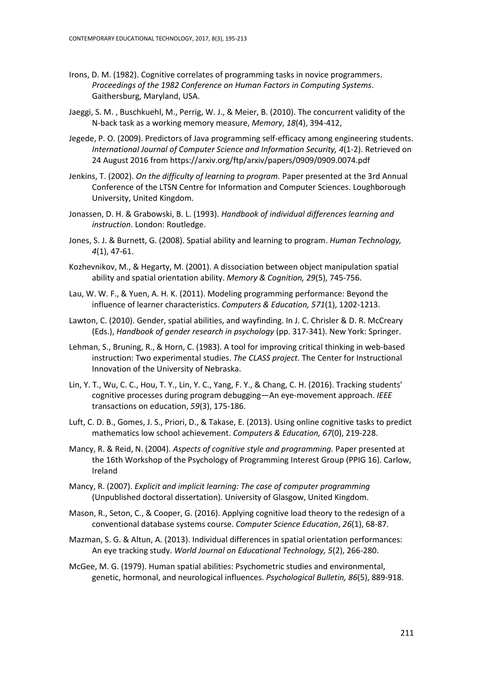- <span id="page-16-3"></span>Irons, D. M. (1982). Cognitive correlates of programming tasks in novice programmers. *Proceedings of the 1982 Conference on Human Factors in Computing Systems*. Gaithersburg, Maryland, USA.
- <span id="page-16-5"></span>Jaeggi, S. M. , Buschkuehl, M., Perrig, W. J., & Meier, B. (2010). The concurrent validity of the N-back task as a working memory measure, *Memory*, *18*(4), 394-412,
- Jegede, P. O. (2009). Predictors of Java programming self-efficacy among engineering students. *International Journal of Computer Science and Information Security, 4*(1-2). Retrieved on 24 August 2016 from https://arxiv.org/ftp/arxiv/papers/0909/0909.0074.pdf
- <span id="page-16-2"></span>Jenkins, T. (2002). *On the difficulty of learning to program.* Paper presented at the 3rd Annual Conference of the LTSN Centre for Information and Computer Sciences. Loughborough University, United Kingdom.
- <span id="page-16-1"></span>Jonassen, D. H. & Grabowski, B. L. (1993). *Handbook of individual differences learning and instruction*. London: Routledge.
- Jones, S. J. & Burnett, G. (2008). Spatial ability and learning to program. *Human Technology, 4*(1), 47-61.
- Kozhevnikov, M., & Hegarty, M. (2001). A dissociation between object manipulation spatial ability and spatial orientation ability. *Memory & Cognition, 29*(5), 745-756.
- Lau, W. W. F., & Yuen, A. H. K. (2011). Modeling programming performance: Beyond the influence of learner characteristics. *Computers & Education, 571*(1), 1202-1213.
- <span id="page-16-4"></span>Lawton, C. (2010). Gender, spatial abilities, and wayfinding. In J. C. Chrisler & D. R. McCreary (Eds.), *Handbook of gender research in psychology* (pp. 317-341). New York: Springer.
- <span id="page-16-0"></span>Lehman, S., Bruning, R., & Horn, C. (1983). A tool for improving critical thinking in web-based instruction: Two experimental studies. *The CLASS project*. The Center for Instructional Innovation of the University of Nebraska.
- Lin, Y. T., Wu, C. C., Hou, T. Y., Lin, Y. C., Yang, F. Y., & Chang, C. H. (2016). Tracking students' cognitive processes during program debugging—An eye-movement approach. *IEEE*  transactions on education, *59*(3), 175-186.
- Luft, C. D. B., Gomes, J. S., Priori, D., & Takase, E. (2013). Using online cognitive tasks to predict mathematics low school achievement. *Computers & Education, 67*(0), 219-228.
- Mancy, R. & Reid, N. (2004). *Aspects of cognitive style and programming.* Paper presented at the 16th Workshop of the Psychology of Programming Interest Group (PPIG 16). Carlow, Ireland
- Mancy, R. (2007). *Explicit and implicit learning: The case of computer programming*  (Unpublished doctoral dissertation). University of Glasgow, United Kingdom.
- Mason, R., Seton, C., & Cooper, G. (2016). Applying cognitive load theory to the redesign of a conventional database systems course. *Computer Science Education*, *26*(1), 68-87.
- Mazman, S. G. & Altun, A. (2013). Individual differences in spatial orientation performances: An eye tracking study. *World Journal on Educational Technology, 5*(2), 266-280.
- McGee, M. G. (1979). Human spatial abilities: Psychometric studies and environmental, genetic, hormonal, and neurological influences. *Psychological Bulletin, 86*(5), 889-918.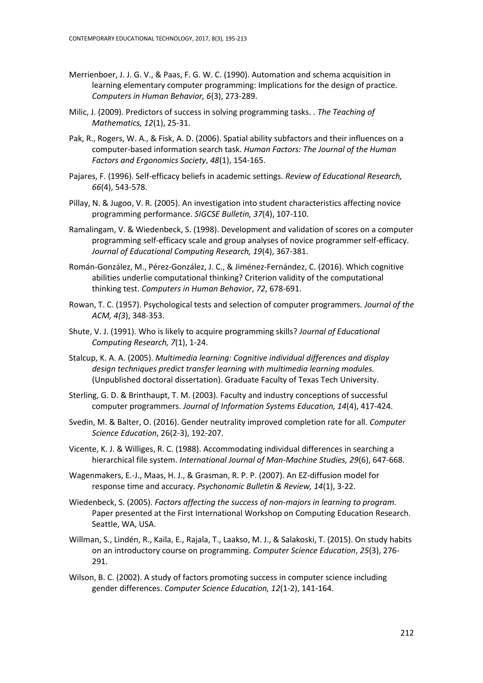- Merrienboer, J. J. G. V., & Paas, F. G. W. C. (1990). Automation and schema acquisition in learning elementary computer programming: Implications for the design of practice. *Computers in Human Behavior, 6*(3), 273-289.
- Milic, J. (2009). Predictors of success in solving programming tasks. . *The Teaching of Mathematics, 12*(1), 25-31.
- Pak, R., Rogers, W. A., & Fisk, A. D. (2006). Spatial ability subfactors and their influences on a computer-based information search task. *Human Factors: The Journal of the Human Factors and Ergonomics Society*, *48*(1), 154-165.
- Pajares, F. (1996). Self-efficacy beliefs in academic settings. *Review of Educational Research, 66*(4), 543-578.
- Pillay, N. & Jugoo, V. R. (2005). An investigation into student characteristics affecting novice programming performance. *SIGCSE Bulletin, 37*(4), 107-110.
- <span id="page-17-0"></span>Ramalingam, V. & Wiedenbeck, S. (1998). Development and validation of scores on a computer programming self-efficacy scale and group analyses of novice programmer self-efficacy. *Journal of Educational Computing Research, 19*(4), 367-381.
- Román-González, M., Pérez-González, J. C., & Jiménez-Fernández, C. (2016). Which cognitive abilities underlie computational thinking? Criterion validity of the computational thinking test. *Computers in Human Behavior*, *72*, 678-691.
- Rowan, T. C. (1957). Psychological tests and selection of computer programmers*. Journal of the ACM, 4(3*), 348-353.
- Shute, V. J. (1991). Who is likely to acquire programming skills? *Journal of Educational Computing Research, 7*(1), 1-24.
- Stalcup, K. A. A. (2005). *Multimedia learning: Cognitive individual differences and display design techniques predict transfer learning with multimedia learning modules.* (Unpublished doctoral dissertation). Graduate Faculty of Texas Tech University.
- Sterling, G. D. & Brinthaupt, T. M. (2003). Faculty and industry conceptions of successful computer programmers. *Journal of Information Systems Education, 14*(4), 417-424.
- Svedin, M. & Balter, O. (2016). Gender neutrality improved completion rate for all. *Computer Science Education*, 26(2-3), 192-207.
- <span id="page-17-1"></span>Vicente, K. J. & Williges, R. C. (1988). Accommodating individual differences in searching a hierarchical file system. *International Journal of Man-Machine Studies, 29*(6), 647-668.
- Wagenmakers, E.-J., Maas, H. J., & Grasman, R. P. P. (2007). An EZ-diffusion model for response time and accuracy. *Psychonomic Bulletin & Review, 14*(1), 3-22.
- Wiedenbeck, S. (2005). *Factors affecting the success of non-majors in learning to program.* Paper presented at the First International Workshop on Computing Education Research. Seattle, WA, USA.
- Willman, S., Lindén, R., Kaila, E., Rajala, T., Laakso, M. J., & Salakoski, T. (2015). On study habits on an introductory course on programming. *Computer Science Education*, *25*(3), 276- 291.
- Wilson, B. C. (2002). A study of factors promoting success in computer science including gender differences. *Computer Science Education, 12*(1-2), 141-164.